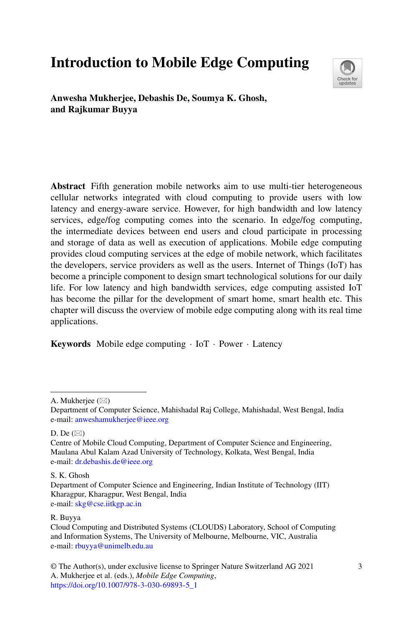# **Introduction to Mobile Edge Computing**



**Anwesha Mukherjee, Debashis De, Soumya K. Ghosh, and Rajkumar Buyya**

**Abstract** Fifth generation mobile networks aim to use multi-tier heterogeneous cellular networks integrated with cloud computing to provide users with low latency and energy-aware service. However, for high bandwidth and low latency services, edge/fog computing comes into the scenario. In edge/fog computing, the intermediate devices between end users and cloud participate in processing and storage of data as well as execution of applications. Mobile edge computing provides cloud computing services at the edge of mobile network, which facilitates the developers, service providers as well as the users. Internet of Things (IoT) has become a principle component to design smart technological solutions for our daily life. For low latency and high bandwidth services, edge computing assisted IoT has become the pillar for the development of smart home, smart health etc. This chapter will discuss the overview of mobile edge computing along with its real time applications.

**Keywords** Mobile edge computing · IoT · Power · Latency

S. K. Ghosh

R. Buyya

A. Mukherjee  $(\boxtimes)$ 

Department of Computer Science, Mahishadal Raj College, Mahishadal, West Bengal, India e-mail: [anweshamukherjee@ieee.org](mailto:anweshamukherjee@ieee.org)

D. De  $(\boxtimes)$ 

Centre of Mobile Cloud Computing, Department of Computer Science and Engineering, Maulana Abul Kalam Azad University of Technology, Kolkata, West Bengal, India e-mail: [dr.debashis.de@ieee.org](mailto:dr.debashis.de@ieee.org)

Department of Computer Science and Engineering, Indian Institute of Technology (IIT) Kharagpur, Kharagpur, West Bengal, India e-mail: [skg@cse.iitkgp.ac.in](mailto:skg@cse.iitkgp.ac.in)

Cloud Computing and Distributed Systems (CLOUDS) Laboratory, School of Computing and Information Systems, The University of Melbourne, Melbourne, VIC, Australia e-mail: [rbuyya@unimelb.edu.au](mailto:rbuyya@unimelb.edu.au)

<sup>©</sup> The Author(s), under exclusive license to Springer Nature Switzerland AG 2021 A. Mukherjee et al. (eds.), *Mobile Edge Computing*, [https://doi.org/10.1007/978-3-030-69893-5\\_1](https://doi.org/10.1007/978-3-030-69893-5_1)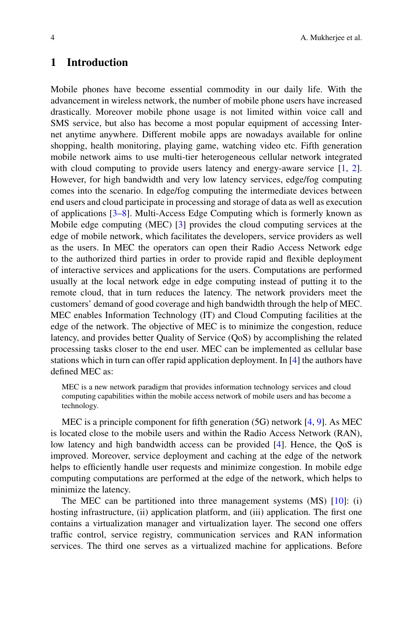## **1 Introduction**

Mobile phones have become essential commodity in our daily life. With the advancement in wireless network, the number of mobile phone users have increased drastically. Moreover mobile phone usage is not limited within voice call and SMS service, but also has become a most popular equipment of accessing Internet anytime anywhere. Different mobile apps are nowadays available for online shopping, health monitoring, playing game, watching video etc. Fifth generation mobile network aims to use multi-tier heterogeneous cellular network integrated with cloud computing to provide users latency and energy-aware service [\[1,](#page-12-0) [2\]](#page-12-1). However, for high bandwidth and very low latency services, edge/fog computing comes into the scenario. In edge/fog computing the intermediate devices between end users and cloud participate in processing and storage of data as well as execution of applications [\[3–](#page-12-2)[8\]](#page-12-3). Multi-Access Edge Computing which is formerly known as Mobile edge computing (MEC) [\[3\]](#page-12-2) provides the cloud computing services at the edge of mobile network, which facilitates the developers, service providers as well as the users. In MEC the operators can open their Radio Access Network edge to the authorized third parties in order to provide rapid and flexible deployment of interactive services and applications for the users. Computations are performed usually at the local network edge in edge computing instead of putting it to the remote cloud, that in turn reduces the latency. The network providers meet the customers' demand of good coverage and high bandwidth through the help of MEC. MEC enables Information Technology (IT) and Cloud Computing facilities at the edge of the network. The objective of MEC is to minimize the congestion, reduce latency, and provides better Quality of Service (QoS) by accomplishing the related processing tasks closer to the end user. MEC can be implemented as cellular base stations which in turn can offer rapid application deployment. In [\[4\]](#page-12-4) the authors have defined MEC as:

MEC is a new network paradigm that provides information technology services and cloud computing capabilities within the mobile access network of mobile users and has become a technology.

MEC is a principle component for fifth generation (5G) network [\[4,](#page-12-4) [9\]](#page-12-5). As MEC is located close to the mobile users and within the Radio Access Network (RAN), low latency and high bandwidth access can be provided [\[4\]](#page-12-4). Hence, the QoS is improved. Moreover, service deployment and caching at the edge of the network helps to efficiently handle user requests and minimize congestion. In mobile edge computing computations are performed at the edge of the network, which helps to minimize the latency.

The MEC can be partitioned into three management systems (MS) [\[10\]](#page-12-6): (i) hosting infrastructure, (ii) application platform, and (iii) application. The first one contains a virtualization manager and virtualization layer. The second one offers traffic control, service registry, communication services and RAN information services. The third one serves as a virtualized machine for applications. Before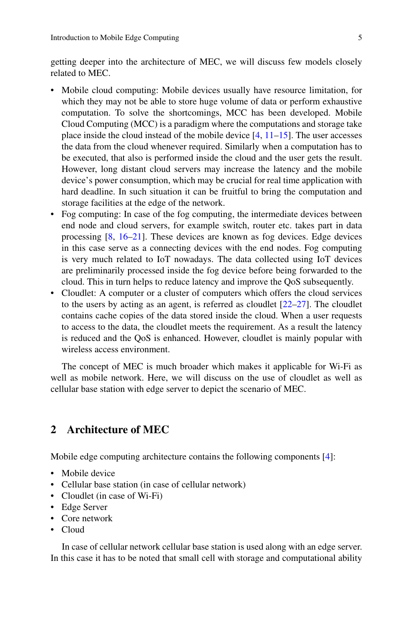getting deeper into the architecture of MEC, we will discuss few models closely related to MEC.

- Mobile cloud computing: Mobile devices usually have resource limitation, for which they may not be able to store huge volume of data or perform exhaustive computation. To solve the shortcomings, MCC has been developed. Mobile Cloud Computing (MCC) is a paradigm where the computations and storage take place inside the cloud instead of the mobile device  $[4, 11-15]$  $[4, 11-15]$  $[4, 11-15]$ . The user accesses the data from the cloud whenever required. Similarly when a computation has to be executed, that also is performed inside the cloud and the user gets the result. However, long distant cloud servers may increase the latency and the mobile device's power consumption, which may be crucial for real time application with hard deadline. In such situation it can be fruitful to bring the computation and storage facilities at the edge of the network.
- Fog computing: In case of the fog computing, the intermediate devices between end node and cloud servers, for example switch, router etc. takes part in data processing [\[8,](#page-12-3) [16](#page-13-1)[–21\]](#page-13-2). These devices are known as fog devices. Edge devices in this case serve as a connecting devices with the end nodes. Fog computing is very much related to IoT nowadays. The data collected using IoT devices are preliminarily processed inside the fog device before being forwarded to the cloud. This in turn helps to reduce latency and improve the QoS subsequently.
- Cloudlet: A computer or a cluster of computers which offers the cloud services to the users by acting as an agent, is referred as cloudlet  $[22-27]$  $[22-27]$ . The cloudlet contains cache copies of the data stored inside the cloud. When a user requests to access to the data, the cloudlet meets the requirement. As a result the latency is reduced and the QoS is enhanced. However, cloudlet is mainly popular with wireless access environment.

The concept of MEC is much broader which makes it applicable for Wi-Fi as well as mobile network. Here, we will discuss on the use of cloudlet as well as cellular base station with edge server to depict the scenario of MEC.

## **2 Architecture of MEC**

Mobile edge computing architecture contains the following components [\[4\]](#page-12-4):

- Mobile device
- Cellular base station (in case of cellular network)
- Cloudlet (in case of Wi-Fi)
- Edge Server
- Core network
- Cloud

In case of cellular network cellular base station is used along with an edge server. In this case it has to be noted that small cell with storage and computational ability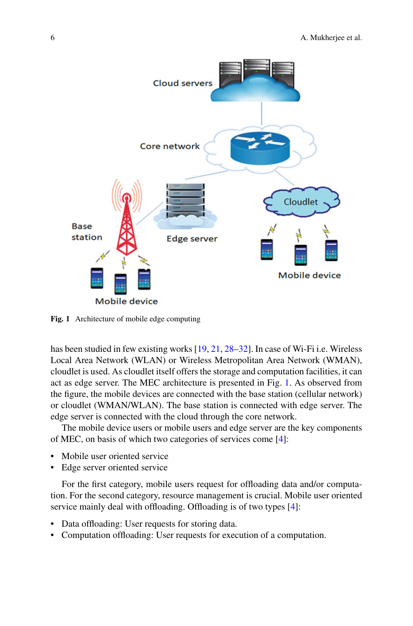

<span id="page-3-0"></span>**Fig. 1** Architecture of mobile edge computing

has been studied in few existing works [\[19,](#page-13-5) [21,](#page-13-2) [28–](#page-13-6)[32\]](#page-14-0). In case of Wi-Fi i.e. Wireless Local Area Network (WLAN) or Wireless Metropolitan Area Network (WMAN), cloudlet is used. As cloudlet itself offers the storage and computation facilities, it can act as edge server. The MEC architecture is presented in Fig. [1.](#page-3-0) As observed from the figure, the mobile devices are connected with the base station (cellular network) or cloudlet (WMAN/WLAN). The base station is connected with edge server. The edge server is connected with the cloud through the core network.

The mobile device users or mobile users and edge server are the key components of MEC, on basis of which two categories of services come [\[4\]](#page-12-4):

- Mobile user oriented service
- Edge server oriented service

For the first category, mobile users request for offloading data and/or computation. For the second category, resource management is crucial. Mobile user oriented service mainly deal with offloading. Offloading is of two types [\[4\]](#page-12-4):

- Data offloading: User requests for storing data.
- Computation offloading: User requests for execution of a computation.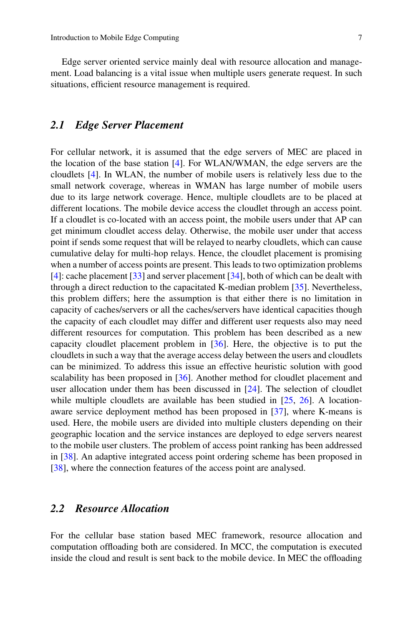Edge server oriented service mainly deal with resource allocation and management. Load balancing is a vital issue when multiple users generate request. In such situations, efficient resource management is required.

#### *2.1 Edge Server Placement*

For cellular network, it is assumed that the edge servers of MEC are placed in the location of the base station [\[4\]](#page-12-4). For WLAN/WMAN, the edge servers are the cloudlets [\[4\]](#page-12-4). In WLAN, the number of mobile users is relatively less due to the small network coverage, whereas in WMAN has large number of mobile users due to its large network coverage. Hence, multiple cloudlets are to be placed at different locations. The mobile device access the cloudlet through an access point. If a cloudlet is co-located with an access point, the mobile users under that AP can get minimum cloudlet access delay. Otherwise, the mobile user under that access point if sends some request that will be relayed to nearby cloudlets, which can cause cumulative delay for multi-hop relays. Hence, the cloudlet placement is promising when a number of access points are present. This leads to two optimization problems [\[4\]](#page-12-4): cache placement [\[33\]](#page-14-1) and server placement [\[34\]](#page-14-2), both of which can be dealt with through a direct reduction to the capacitated K-median problem [\[35\]](#page-14-3). Nevertheless, this problem differs; here the assumption is that either there is no limitation in capacity of caches/servers or all the caches/servers have identical capacities though the capacity of each cloudlet may differ and different user requests also may need different resources for computation. This problem has been described as a new capacity cloudlet placement problem in [\[36\]](#page-14-4). Here, the objective is to put the cloudlets in such a way that the average access delay between the users and cloudlets can be minimized. To address this issue an effective heuristic solution with good scalability has been proposed in [\[36\]](#page-14-4). Another method for cloudlet placement and user allocation under them has been discussed in [\[24\]](#page-13-7). The selection of cloudlet while multiple cloudlets are available has been studied in  $[25, 26]$  $[25, 26]$  $[25, 26]$ . A locationaware service deployment method has been proposed in [\[37\]](#page-14-5), where K-means is used. Here, the mobile users are divided into multiple clusters depending on their geographic location and the service instances are deployed to edge servers nearest to the mobile user clusters. The problem of access point ranking has been addressed in [\[38\]](#page-14-6). An adaptive integrated access point ordering scheme has been proposed in [\[38\]](#page-14-6), where the connection features of the access point are analysed.

## *2.2 Resource Allocation*

For the cellular base station based MEC framework, resource allocation and computation offloading both are considered. In MCC, the computation is executed inside the cloud and result is sent back to the mobile device. In MEC the offloading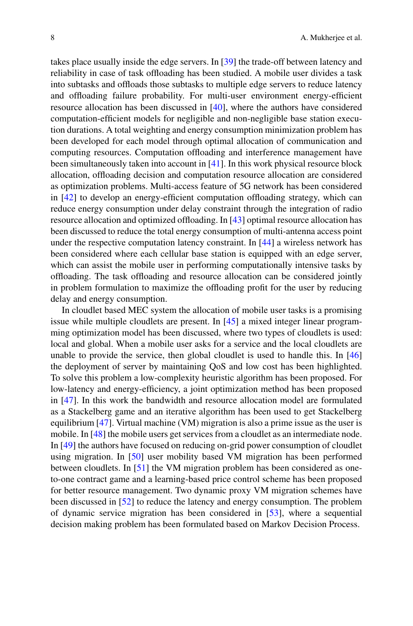takes place usually inside the edge servers. In [\[39\]](#page-14-7) the trade-off between latency and reliability in case of task offloading has been studied. A mobile user divides a task into subtasks and offloads those subtasks to multiple edge servers to reduce latency and offloading failure probability. For multi-user environment energy-efficient resource allocation has been discussed in [\[40\]](#page-14-8), where the authors have considered computation-efficient models for negligible and non-negligible base station execution durations. A total weighting and energy consumption minimization problem has been developed for each model through optimal allocation of communication and computing resources. Computation offloading and interference management have been simultaneously taken into account in [\[41\]](#page-14-9). In this work physical resource block allocation, offloading decision and computation resource allocation are considered as optimization problems. Multi-access feature of 5G network has been considered in [\[42\]](#page-14-10) to develop an energy-efficient computation offloading strategy, which can reduce energy consumption under delay constraint through the integration of radio resource allocation and optimized offloading. In [\[43\]](#page-14-11) optimal resource allocation has been discussed to reduce the total energy consumption of multi-antenna access point under the respective computation latency constraint. In [\[44\]](#page-14-12) a wireless network has been considered where each cellular base station is equipped with an edge server, which can assist the mobile user in performing computationally intensive tasks by offloading. The task offloading and resource allocation can be considered jointly in problem formulation to maximize the offloading profit for the user by reducing delay and energy consumption.

In cloudlet based MEC system the allocation of mobile user tasks is a promising issue while multiple cloudlets are present. In [\[45\]](#page-14-13) a mixed integer linear programming optimization model has been discussed, where two types of cloudlets is used: local and global. When a mobile user asks for a service and the local cloudlets are unable to provide the service, then global cloudlet is used to handle this. In [\[46\]](#page-14-14) the deployment of server by maintaining QoS and low cost has been highlighted. To solve this problem a low-complexity heuristic algorithm has been proposed. For low-latency and energy-efficiency, a joint optimization method has been proposed in [\[47\]](#page-14-15). In this work the bandwidth and resource allocation model are formulated as a Stackelberg game and an iterative algorithm has been used to get Stackelberg equilibrium [\[47\]](#page-14-15). Virtual machine (VM) migration is also a prime issue as the user is mobile. In [\[48\]](#page-14-16) the mobile users get services from a cloudlet as an intermediate node. In [\[49\]](#page-14-17) the authors have focused on reducing on-grid power consumption of cloudlet using migration. In [\[50\]](#page-14-18) user mobility based VM migration has been performed between cloudlets. In [\[51\]](#page-15-0) the VM migration problem has been considered as oneto-one contract game and a learning-based price control scheme has been proposed for better resource management. Two dynamic proxy VM migration schemes have been discussed in [\[52\]](#page-15-1) to reduce the latency and energy consumption. The problem of dynamic service migration has been considered in [\[53\]](#page-15-2), where a sequential decision making problem has been formulated based on Markov Decision Process.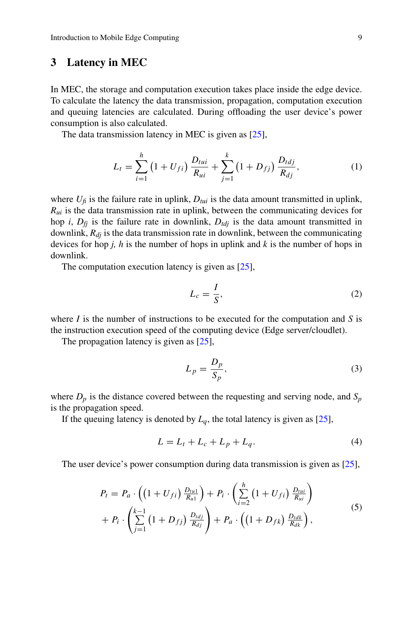#### **3 Latency in MEC**

In MEC, the storage and computation execution takes place inside the edge device. To calculate the latency the data transmission, propagation, computation execution and queuing latencies are calculated. During offloading the user device's power consumption is also calculated.

The data transmission latency in MEC is given as [\[25\]](#page-13-8),

$$
L_{t} = \sum_{i=1}^{h} (1 + U_{fi}) \frac{D_{tui}}{R_{ui}} + \sum_{j=1}^{k} (1 + D_{fj}) \frac{D_{tdj}}{R_{dj}},
$$
 (1)

where  $U_f$  is the failure rate in uplink,  $D_{tui}$  is the data amount transmitted in uplink, *Rui* is the data transmission rate in uplink, between the communicating devices for hop *i*,  $D_{ff}$  is the failure rate in downlink,  $D_{tdj}$  is the data amount transmitted in downlink,  $R_{di}$  is the data transmission rate in downlink, between the communicating devices for hop *j, h* is the number of hops in uplink and *k* is the number of hops in downlink.

The computation execution latency is given as [\[25\]](#page-13-8),

$$
L_c = \frac{I}{S},\tag{2}
$$

where  $I$  is the number of instructions to be executed for the computation and  $S$  is the instruction execution speed of the computing device (Edge server/cloudlet).

The propagation latency is given as  $[25]$ ,

$$
L_p = \frac{D_p}{S_p},\tag{3}
$$

where  $D_p$  is the distance covered between the requesting and serving node, and  $S_p$ is the propagation speed.

If the queuing latency is denoted by  $L_q$ , the total latency is given as [\[25\]](#page-13-8),

$$
L = L_t + L_c + L_p + L_q. \tag{4}
$$

The user device's power consumption during data transmission is given as [\[25\]](#page-13-8),

$$
P_{t} = P_{a} \cdot \left( \left( 1 + U_{fi} \right) \frac{D_{tul}}{R_{u1}} \right) + P_{i} \cdot \left( \sum_{i=2}^{h} \left( 1 + U_{fi} \right) \frac{D_{tul}}{R_{ui}} \right) + P_{i} \cdot \left( \sum_{j=1}^{k-1} \left( 1 + D_{fj} \right) \frac{D_{tdj}}{R_{dj}} \right) + P_{a} \cdot \left( \left( 1 + D_{fk} \right) \frac{D_{tdk}}{R_{dk}} \right), \tag{5}
$$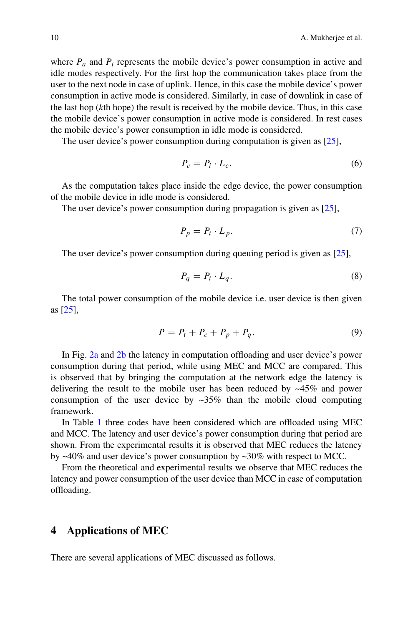where  $P_a$  and  $P_i$  represents the mobile device's power consumption in active and idle modes respectively. For the first hop the communication takes place from the user to the next node in case of uplink. Hence, in this case the mobile device's power consumption in active mode is considered. Similarly, in case of downlink in case of the last hop (*k*th hope) the result is received by the mobile device. Thus, in this case the mobile device's power consumption in active mode is considered. In rest cases the mobile device's power consumption in idle mode is considered.

The user device's power consumption during computation is given as [\[25\]](#page-13-8),

$$
P_c = P_i \cdot L_c. \tag{6}
$$

As the computation takes place inside the edge device, the power consumption of the mobile device in idle mode is considered.

The user device's power consumption during propagation is given as [\[25\]](#page-13-8),

$$
P_p = P_i \cdot L_p. \tag{7}
$$

The user device's power consumption during queuing period is given as [\[25\]](#page-13-8),

$$
P_q = P_i \cdot L_q. \tag{8}
$$

The total power consumption of the mobile device i.e. user device is then given as [\[25\]](#page-13-8),

$$
P = P_t + P_c + P_p + P_q. \tag{9}
$$

In Fig. [2a](#page-8-0) and [2b](#page-8-1) the latency in computation offloading and user device's power consumption during that period, while using MEC and MCC are compared. This is observed that by bringing the computation at the network edge the latency is delivering the result to the mobile user has been reduced by ~45% and power consumption of the user device by  $\sim 35\%$  than the mobile cloud computing framework.

In Table [1](#page-9-0) three codes have been considered which are offloaded using MEC and MCC. The latency and user device's power consumption during that period are shown. From the experimental results it is observed that MEC reduces the latency by ~40% and user device's power consumption by ~30% with respect to MCC.

From the theoretical and experimental results we observe that MEC reduces the latency and power consumption of the user device than MCC in case of computation offloading.

### **4 Applications of MEC**

There are several applications of MEC discussed as follows.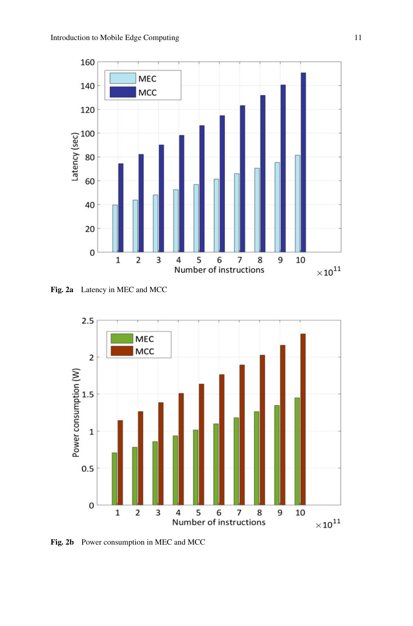

<span id="page-8-0"></span>**Fig. 2a** Latency in MEC and MCC



<span id="page-8-1"></span>**Fig. 2b** Power consumption in MEC and MCC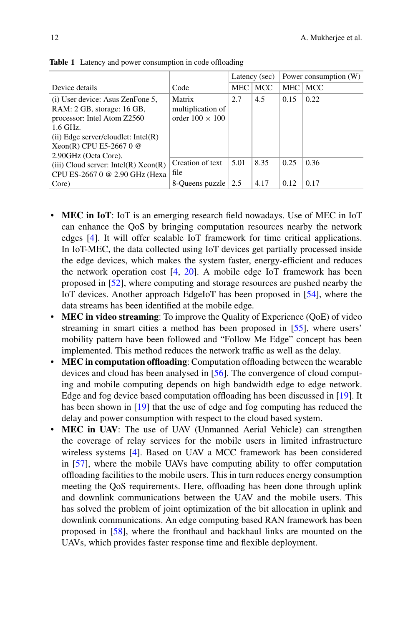|                                                                                                                                                                                                                                                                                      |                                                       | Latency (sec) |            | Power consumption (W) |            |
|--------------------------------------------------------------------------------------------------------------------------------------------------------------------------------------------------------------------------------------------------------------------------------------|-------------------------------------------------------|---------------|------------|-----------------------|------------|
| Device details                                                                                                                                                                                                                                                                       | Code                                                  | <b>MEC</b>    | <b>MCC</b> | MEC                   | <b>MCC</b> |
| (i) User device: Asus ZenFone 5,<br>RAM: 2 GB, storage: 16 GB,<br>processor: Intel Atom Z2560<br>1.6 GHz.<br>$(ii)$ Edge server/cloudlet: Intel $(R)$<br>Xeon(R) CPU E5-2667 0 @<br>2.90GHz (Octa Core).<br>(iii) Cloud server: Intel(R) $Xeon(R)$<br>CPU ES-2667 0 @ 2.90 GHz (Hexa | Matrix<br>multiplication of<br>order $100 \times 100$ | 2.7           | 4.5        | 0.15                  | 0.22       |
|                                                                                                                                                                                                                                                                                      | Creation of text<br>file                              | 5.01          | 8.35       | 0.25                  | 0.36       |
| Core)                                                                                                                                                                                                                                                                                | 8-Queens puzzle                                       | 2.5           | 4.17       | 0.12                  | 0.17       |

<span id="page-9-0"></span>**Table 1** Latency and power consumption in code offloading

- **MEC in IoT**: IoT is an emerging research field nowadays. Use of MEC in IoT can enhance the QoS by bringing computation resources nearby the network edges [\[4\]](#page-12-4). It will offer scalable IoT framework for time critical applications. In IoT-MEC, the data collected using IoT devices get partially processed inside the edge devices, which makes the system faster, energy-efficient and reduces the network operation cost [\[4,](#page-12-4) [20\]](#page-13-10). A mobile edge IoT framework has been proposed in [\[52\]](#page-15-1), where computing and storage resources are pushed nearby the IoT devices. Another approach EdgeIoT has been proposed in [\[54\]](#page-15-3), where the data streams has been identified at the mobile edge.
- **MEC in video streaming**: To improve the Quality of Experience (QoE) of video streaming in smart cities a method has been proposed in [\[55\]](#page-15-4), where users' mobility pattern have been followed and "Follow Me Edge" concept has been implemented. This method reduces the network traffic as well as the delay.
- **MEC in computation offloading**: Computation offloading between the wearable devices and cloud has been analysed in [\[56\]](#page-15-5). The convergence of cloud computing and mobile computing depends on high bandwidth edge to edge network. Edge and fog device based computation offloading has been discussed in [\[19\]](#page-13-5). It has been shown in [\[19\]](#page-13-5) that the use of edge and fog computing has reduced the delay and power consumption with respect to the cloud based system.
- **MEC in UAV**: The use of UAV (Unmanned Aerial Vehicle) can strengthen the coverage of relay services for the mobile users in limited infrastructure wireless systems [\[4\]](#page-12-4). Based on UAV a MCC framework has been considered in [\[57\]](#page-15-6), where the mobile UAVs have computing ability to offer computation offloading facilities to the mobile users. This in turn reduces energy consumption meeting the QoS requirements. Here, offloading has been done through uplink and downlink communications between the UAV and the mobile users. This has solved the problem of joint optimization of the bit allocation in uplink and downlink communications. An edge computing based RAN framework has been proposed in [\[58\]](#page-15-7), where the fronthaul and backhaul links are mounted on the UAVs, which provides faster response time and flexible deployment.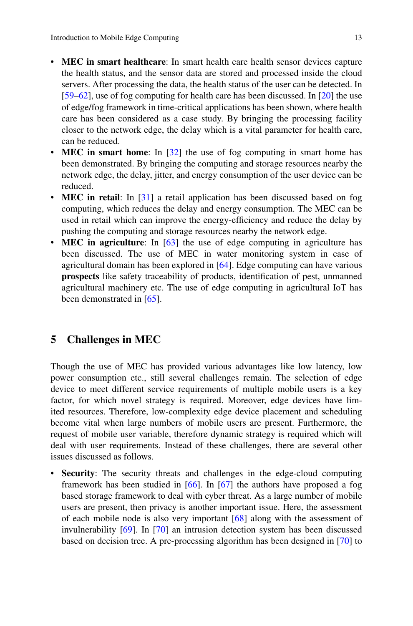- **MEC in smart healthcare**: In smart health care health sensor devices capture the health status, and the sensor data are stored and processed inside the cloud servers. After processing the data, the health status of the user can be detected. In [\[59–](#page-15-8)[62\]](#page-15-9), use of fog computing for health care has been discussed. In [\[20\]](#page-13-10) the use of edge/fog framework in time-critical applications has been shown, where health care has been considered as a case study. By bringing the processing facility closer to the network edge, the delay which is a vital parameter for health care, can be reduced.
- **MEC in smart home**: In [\[32\]](#page-14-0) the use of fog computing in smart home has been demonstrated. By bringing the computing and storage resources nearby the network edge, the delay, jitter, and energy consumption of the user device can be reduced.
- **MEC** in retail: In [\[31\]](#page-13-11) a retail application has been discussed based on fog computing, which reduces the delay and energy consumption. The MEC can be used in retail which can improve the energy-efficiency and reduce the delay by pushing the computing and storage resources nearby the network edge.
- **MEC in agriculture**: In [\[63\]](#page-15-10) the use of edge computing in agriculture has been discussed. The use of MEC in water monitoring system in case of agricultural domain has been explored in [\[64\]](#page-15-11). Edge computing can have various **prospects** like safety traceability of products, identification of pest, unmanned agricultural machinery etc. The use of edge computing in agricultural IoT has been demonstrated in [\[65\]](#page-15-12).

## **5 Challenges in MEC**

Though the use of MEC has provided various advantages like low latency, low power consumption etc., still several challenges remain. The selection of edge device to meet different service requirements of multiple mobile users is a key factor, for which novel strategy is required. Moreover, edge devices have limited resources. Therefore, low-complexity edge device placement and scheduling become vital when large numbers of mobile users are present. Furthermore, the request of mobile user variable, therefore dynamic strategy is required which will deal with user requirements. Instead of these challenges, there are several other issues discussed as follows.

• **Security**: The security threats and challenges in the edge-cloud computing framework has been studied in  $[66]$ . In  $[67]$  the authors have proposed a fog based storage framework to deal with cyber threat. As a large number of mobile users are present, then privacy is another important issue. Here, the assessment of each mobile node is also very important [\[68\]](#page-15-15) along with the assessment of invulnerability [\[69\]](#page-16-0). In [\[70\]](#page-16-1) an intrusion detection system has been discussed based on decision tree. A pre-processing algorithm has been designed in [\[70\]](#page-16-1) to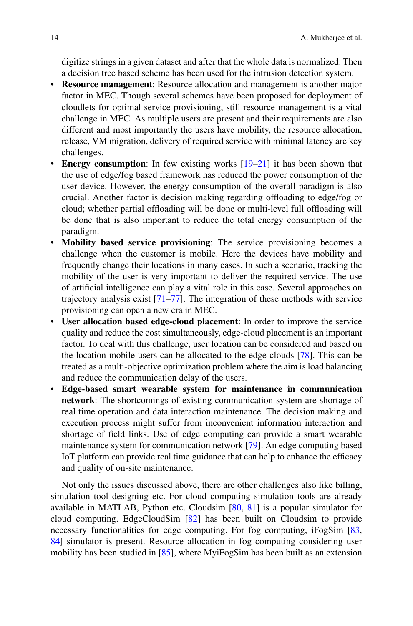digitize strings in a given dataset and after that the whole data is normalized. Then a decision tree based scheme has been used for the intrusion detection system.

- **Resource management**: Resource allocation and management is another major factor in MEC. Though several schemes have been proposed for deployment of cloudlets for optimal service provisioning, still resource management is a vital challenge in MEC. As multiple users are present and their requirements are also different and most importantly the users have mobility, the resource allocation, release, VM migration, delivery of required service with minimal latency are key challenges.
- **Energy consumption**: In few existing works  $[19-21]$  $[19-21]$  it has been shown that the use of edge/fog based framework has reduced the power consumption of the user device. However, the energy consumption of the overall paradigm is also crucial. Another factor is decision making regarding offloading to edge/fog or cloud; whether partial offloading will be done or multi-level full offloading will be done that is also important to reduce the total energy consumption of the paradigm.
- **Mobility based service provisioning**: The service provisioning becomes a challenge when the customer is mobile. Here the devices have mobility and frequently change their locations in many cases. In such a scenario, tracking the mobility of the user is very important to deliver the required service. The use of artificial intelligence can play a vital role in this case. Several approaches on trajectory analysis exist [\[71–](#page-16-2)[77\]](#page-16-3). The integration of these methods with service provisioning can open a new era in MEC.
- **User allocation based edge-cloud placement**: In order to improve the service quality and reduce the cost simultaneously, edge-cloud placement is an important factor. To deal with this challenge, user location can be considered and based on the location mobile users can be allocated to the edge-clouds [\[78\]](#page-16-4). This can be treated as a multi-objective optimization problem where the aim is load balancing and reduce the communication delay of the users.
- **Edge-based smart wearable system for maintenance in communication network**: The shortcomings of existing communication system are shortage of real time operation and data interaction maintenance. The decision making and execution process might suffer from inconvenient information interaction and shortage of field links. Use of edge computing can provide a smart wearable maintenance system for communication network [\[79\]](#page-16-5). An edge computing based IoT platform can provide real time guidance that can help to enhance the efficacy and quality of on-site maintenance.

Not only the issues discussed above, there are other challenges also like billing, simulation tool designing etc. For cloud computing simulation tools are already available in MATLAB, Python etc. Cloudsim [\[80,](#page-16-6) [81\]](#page-16-7) is a popular simulator for cloud computing. EdgeCloudSim [\[82\]](#page-16-8) has been built on Cloudsim to provide necessary functionalities for edge computing. For fog computing, iFogSim [\[83,](#page-16-9) [84\]](#page-16-10) simulator is present. Resource allocation in fog computing considering user mobility has been studied in [\[85\]](#page-16-11), where MyiFogSim has been built as an extension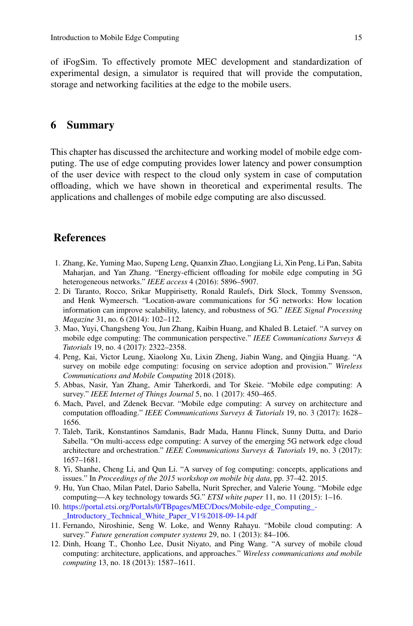of iFogSim. To effectively promote MEC development and standardization of experimental design, a simulator is required that will provide the computation, storage and networking facilities at the edge to the mobile users.

#### **6 Summary**

This chapter has discussed the architecture and working model of mobile edge computing. The use of edge computing provides lower latency and power consumption of the user device with respect to the cloud only system in case of computation offloading, which we have shown in theoretical and experimental results. The applications and challenges of mobile edge computing are also discussed.

#### **References**

- <span id="page-12-0"></span>1. Zhang, Ke, Yuming Mao, Supeng Leng, Quanxin Zhao, Longjiang Li, Xin Peng, Li Pan, Sabita Maharjan, and Yan Zhang. "Energy-efficient offloading for mobile edge computing in 5G heterogeneous networks." *IEEE access* 4 (2016): 5896–5907.
- <span id="page-12-1"></span>2. Di Taranto, Rocco, Srikar Muppirisetty, Ronald Raulefs, Dirk Slock, Tommy Svensson, and Henk Wymeersch. "Location-aware communications for 5G networks: How location information can improve scalability, latency, and robustness of 5G." *IEEE Signal Processing Magazine* 31, no. 6 (2014): 102–112.
- <span id="page-12-2"></span>3. Mao, Yuyi, Changsheng You, Jun Zhang, Kaibin Huang, and Khaled B. Letaief. "A survey on mobile edge computing: The communication perspective." *IEEE Communications Surveys & Tutorials* 19, no. 4 (2017): 2322–2358.
- <span id="page-12-4"></span>4. Peng, Kai, Victor Leung, Xiaolong Xu, Lixin Zheng, Jiabin Wang, and Qingjia Huang. "A survey on mobile edge computing: focusing on service adoption and provision." *Wireless Communications and Mobile Computing* 2018 (2018).
- 5. Abbas, Nasir, Yan Zhang, Amir Taherkordi, and Tor Skeie. "Mobile edge computing: A survey." *IEEE Internet of Things Journal* 5, no. 1 (2017): 450–465.
- 6. Mach, Pavel, and Zdenek Becvar. "Mobile edge computing: A survey on architecture and computation offloading." *IEEE Communications Surveys & Tutorials* 19, no. 3 (2017): 1628– 1656.
- 7. Taleb, Tarik, Konstantinos Samdanis, Badr Mada, Hannu Flinck, Sunny Dutta, and Dario Sabella. "On multi-access edge computing: A survey of the emerging 5G network edge cloud architecture and orchestration." *IEEE Communications Surveys & Tutorials* 19, no. 3 (2017): 1657–1681.
- <span id="page-12-3"></span>8. Yi, Shanhe, Cheng Li, and Qun Li. "A survey of fog computing: concepts, applications and issues." In *Proceedings of the 2015 workshop on mobile big data*, pp. 37–42. 2015.
- <span id="page-12-5"></span>9. Hu, Yun Chao, Milan Patel, Dario Sabella, Nurit Sprecher, and Valerie Young. "Mobile edge computing—A key technology towards 5G." *ETSI white paper* 11, no. 11 (2015): 1–16.
- <span id="page-12-6"></span>10. [https://portal.etsi.org/Portals/0/TBpages/MEC/Docs/Mobile-edge\\_Computing\\_-](https://portal.etsi.org/Portals/0/TBpages/MEC/Docs/Mobile-edge_Computing_-_Introductory_Technical_White_Paper_V1%2018-09-14.pdf) \_Introductory\_Technical\_White\_Paper\_V1%2018-09-14.pdf
- <span id="page-12-7"></span>11. Fernando, Niroshinie, Seng W. Loke, and Wenny Rahayu. "Mobile cloud computing: A survey." *Future generation computer systems* 29, no. 1 (2013): 84–106.
- 12. Dinh, Hoang T., Chonho Lee, Dusit Niyato, and Ping Wang. "A survey of mobile cloud computing: architecture, applications, and approaches." *Wireless communications and mobile computing* 13, no. 18 (2013): 1587–1611.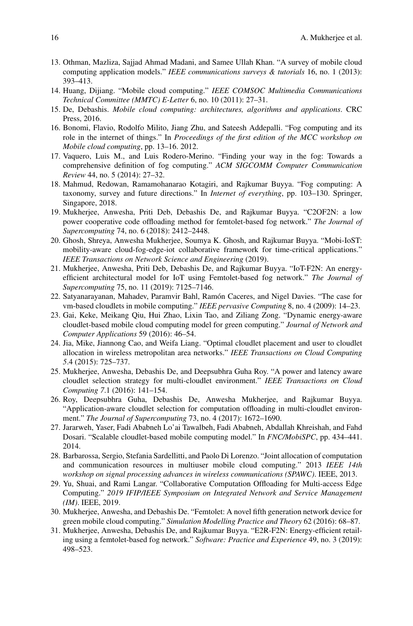- 13. Othman, Mazliza, Sajjad Ahmad Madani, and Samee Ullah Khan. "A survey of mobile cloud computing application models." *IEEE communications surveys & tutorials* 16, no. 1 (2013): 393–413.
- 14. Huang, Dijiang. "Mobile cloud computing." *IEEE COMSOC Multimedia Communications Technical Committee (MMTC) E-Letter* 6, no. 10 (2011): 27–31.
- <span id="page-13-0"></span>15. De, Debashis. *Mobile cloud computing: architectures, algorithms and applications*. CRC Press, 2016.
- <span id="page-13-1"></span>16. Bonomi, Flavio, Rodolfo Milito, Jiang Zhu, and Sateesh Addepalli. "Fog computing and its role in the internet of things." In *Proceedings of the first edition of the MCC workshop on Mobile cloud computing*, pp. 13–16. 2012.
- 17. Vaquero, Luis M., and Luis Rodero-Merino. "Finding your way in the fog: Towards a comprehensive definition of fog computing." *ACM SIGCOMM Computer Communication Review* 44, no. 5 (2014): 27–32.
- 18. Mahmud, Redowan, Ramamohanarao Kotagiri, and Rajkumar Buyya. "Fog computing: A taxonomy, survey and future directions." In *Internet of everything*, pp. 103–130. Springer, Singapore, 2018.
- <span id="page-13-5"></span>19. Mukherjee, Anwesha, Priti Deb, Debashis De, and Rajkumar Buyya. "C2OF2N: a low power cooperative code offloading method for femtolet-based fog network." *The Journal of Supercomputing* 74, no. 6 (2018): 2412–2448.
- <span id="page-13-10"></span>20. Ghosh, Shreya, Anwesha Mukherjee, Soumya K. Ghosh, and Rajkumar Buyya. "Mobi-IoST: mobility-aware cloud-fog-edge-iot collaborative framework for time-critical applications." *IEEE Transactions on Network Science and Engineering* (2019).
- <span id="page-13-2"></span>21. Mukherjee, Anwesha, Priti Deb, Debashis De, and Rajkumar Buyya. "IoT-F2N: An energyefficient architectural model for IoT using Femtolet-based fog network." *The Journal of Supercomputing* 75, no. 11 (2019): 7125–7146.
- <span id="page-13-3"></span>22. Satyanarayanan, Mahadev, Paramvir Bahl, Ramón Caceres, and Nigel Davies. "The case for vm-based cloudlets in mobile computing." *IEEE pervasive Computing* 8, no. 4 (2009): 14–23.
- 23. Gai, Keke, Meikang Qiu, Hui Zhao, Lixin Tao, and Ziliang Zong. "Dynamic energy-aware cloudlet-based mobile cloud computing model for green computing." *Journal of Network and Computer Applications* 59 (2016): 46–54.
- <span id="page-13-7"></span>24. Jia, Mike, Jiannong Cao, and Weifa Liang. "Optimal cloudlet placement and user to cloudlet allocation in wireless metropolitan area networks." *IEEE Transactions on Cloud Computing 5*.4 (2015): 725–737.
- <span id="page-13-8"></span>25. Mukherjee, Anwesha, Debashis De, and Deepsubhra Guha Roy. "A power and latency aware cloudlet selection strategy for multi-cloudlet environment." *IEEE Transactions on Cloud Computing 7*.1 (2016): 141–154.
- <span id="page-13-9"></span>26. Roy, Deepsubhra Guha, Debashis De, Anwesha Mukherjee, and Rajkumar Buyya. "Application-aware cloudlet selection for computation offloading in multi-cloudlet environment." *The Journal of Supercomputing* 73, no. 4 (2017): 1672–1690.
- <span id="page-13-4"></span>27. Jararweh, Yaser, Fadi Ababneh Lo'ai Tawalbeh, Fadi Ababneh, Abdallah Khreishah, and Fahd Dosari. "Scalable cloudlet-based mobile computing model." In *FNC/MobiSPC*, pp. 434–441. 2014.
- <span id="page-13-6"></span>28. Barbarossa, Sergio, Stefania Sardellitti, and Paolo Di Lorenzo. "Joint allocation of computation and communication resources in multiuser mobile cloud computing." 2013 *IEEE 14th workshop on signal processing advances in wireless communications (SPAWC)*. IEEE, 2013.
- 29. Yu, Shuai, and Rami Langar. "Collaborative Computation Offloading for Multi-access Edge Computing." *2019 IFIP/IEEE Symposium on Integrated Network and Service Management (IM)*. IEEE, 2019.
- 30. Mukherjee, Anwesha, and Debashis De. "Femtolet: A novel fifth generation network device for green mobile cloud computing." *Simulation Modelling Practice and Theory* 62 (2016): 68–87.
- <span id="page-13-11"></span>31. Mukherjee, Anwesha, Debashis De, and Rajkumar Buyya. "E2R-F2N: Energy-efficient retailing using a femtolet-based fog network." *Software: Practice and Experience* 49, no. 3 (2019): 498–523.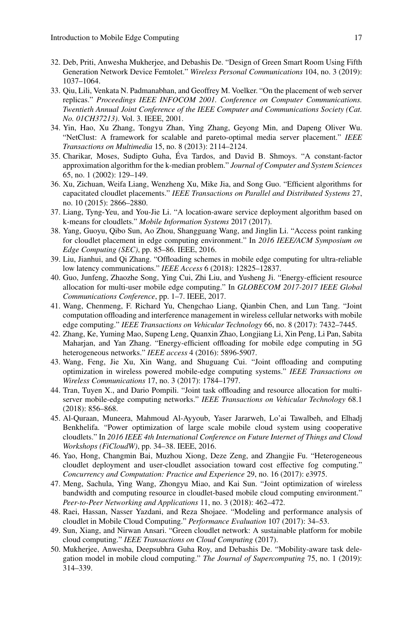- <span id="page-14-0"></span>32. Deb, Priti, Anwesha Mukherjee, and Debashis De. "Design of Green Smart Room Using Fifth Generation Network Device Femtolet." *Wireless Personal Communications* 104, no. 3 (2019): 1037–1064.
- <span id="page-14-1"></span>33. Qiu, Lili, Venkata N. Padmanabhan, and Geoffrey M. Voelker. "On the placement of web server replicas." *Proceedings IEEE INFOCOM 2001. Conference on Computer Communications. Twentieth Annual Joint Conference of the IEEE Computer and Communications Society (Cat. No. 01CH37213)*. Vol. 3. IEEE, 2001.
- <span id="page-14-2"></span>34. Yin, Hao, Xu Zhang, Tongyu Zhan, Ying Zhang, Geyong Min, and Dapeng Oliver Wu. "NetClust: A framework for scalable and pareto-optimal media server placement." *IEEE Transactions on Multimedia* 15, no. 8 (2013): 2114–2124.
- <span id="page-14-3"></span>35. Charikar, Moses, Sudipto Guha, Éva Tardos, and David B. Shmoys. "A constant-factor approximation algorithm for the k-median problem." *Journal of Computer and System Sciences* 65, no. 1 (2002): 129–149.
- <span id="page-14-4"></span>36. Xu, Zichuan, Weifa Liang, Wenzheng Xu, Mike Jia, and Song Guo. "Efficient algorithms for capacitated cloudlet placements." *IEEE Transactions on Parallel and Distributed Systems* 27, no. 10 (2015): 2866–2880.
- <span id="page-14-5"></span>37. Liang, Tyng-Yeu, and You-Jie Li. "A location-aware service deployment algorithm based on k-means for cloudlets." *Mobile Information Systems* 2017 (2017).
- <span id="page-14-6"></span>38. Yang, Guoyu, Qibo Sun, Ao Zhou, Shangguang Wang, and Jinglin Li. "Access point ranking for cloudlet placement in edge computing environment." In *2016 IEEE/ACM Symposium on Edge Computing (SEC)*, pp. 85–86. IEEE, 2016.
- <span id="page-14-7"></span>39. Liu, Jianhui, and Qi Zhang. "Offloading schemes in mobile edge computing for ultra-reliable low latency communications." *IEEE Access* 6 (2018): 12825–12837.
- <span id="page-14-8"></span>40. Guo, Junfeng, Zhaozhe Song, Ying Cui, Zhi Liu, and Yusheng Ji. "Energy-efficient resource allocation for multi-user mobile edge computing." In *GLOBECOM 2017-2017 IEEE Global Communications Conference*, pp. 1–7. IEEE, 2017.
- <span id="page-14-9"></span>41. Wang, Chenmeng, F. Richard Yu, Chengchao Liang, Qianbin Chen, and Lun Tang. "Joint computation offloading and interference management in wireless cellular networks with mobile edge computing." *IEEE Transactions on Vehicular Technology* 66, no. 8 (2017): 7432–7445.
- <span id="page-14-10"></span>42. Zhang, Ke, Yuming Mao, Supeng Leng, Quanxin Zhao, Longjiang Li, Xin Peng, Li Pan, Sabita Maharjan, and Yan Zhang. "Energy-efficient offloading for mobile edge computing in 5G heterogeneous networks." *IEEE access* 4 (2016): 5896-5907.
- <span id="page-14-11"></span>43. Wang, Feng, Jie Xu, Xin Wang, and Shuguang Cui. "Joint offloading and computing optimization in wireless powered mobile-edge computing systems." *IEEE Transactions on Wireless Communications* 17, no. 3 (2017): 1784–1797.
- <span id="page-14-12"></span>44. Tran, Tuyen X., and Dario Pompili. "Joint task offloading and resource allocation for multiserver mobile-edge computing networks." *IEEE Transactions on Vehicular Technology* 68.1 (2018): 856–868.
- <span id="page-14-13"></span>45. Al-Quraan, Muneera, Mahmoud Al-Ayyoub, Yaser Jararweh, Lo'ai Tawalbeh, and Elhadj Benkhelifa. "Power optimization of large scale mobile cloud system using cooperative cloudlets." In *2016 IEEE 4th International Conference on Future Internet of Things and Cloud Workshops (FiCloudW)*, pp. 34–38. IEEE, 2016.
- <span id="page-14-14"></span>46. Yao, Hong, Changmin Bai, Muzhou Xiong, Deze Zeng, and Zhangjie Fu. "Heterogeneous cloudlet deployment and user-cloudlet association toward cost effective fog computing." *Concurrency and Computation: Practice and Experience* 29, no. 16 (2017): e3975.
- <span id="page-14-15"></span>47. Meng, Sachula, Ying Wang, Zhongyu Miao, and Kai Sun. "Joint optimization of wireless bandwidth and computing resource in cloudlet-based mobile cloud computing environment." *Peer-to-Peer Networking and Applications* 11, no. 3 (2018): 462–472.
- <span id="page-14-16"></span>48. Raei, Hassan, Nasser Yazdani, and Reza Shojaee. "Modeling and performance analysis of cloudlet in Mobile Cloud Computing." *Performance Evaluation* 107 (2017): 34–53.
- <span id="page-14-17"></span>49. Sun, Xiang, and Nirwan Ansari. "Green cloudlet network: A sustainable platform for mobile cloud computing." *IEEE Transactions on Cloud Computing* (2017).
- <span id="page-14-18"></span>50. Mukherjee, Anwesha, Deepsubhra Guha Roy, and Debashis De. "Mobility-aware task delegation model in mobile cloud computing." *The Journal of Supercomputing* 75, no. 1 (2019): 314–339.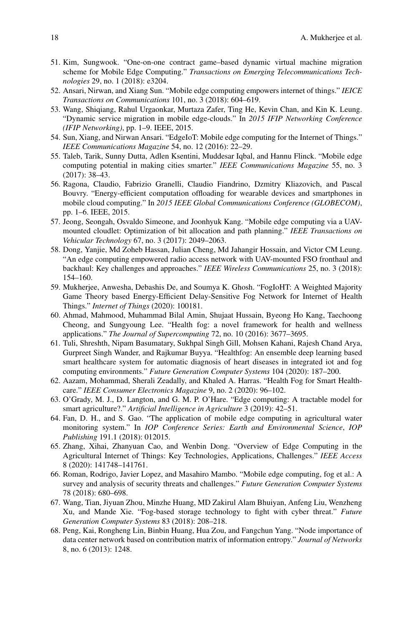- <span id="page-15-0"></span>51. Kim, Sungwook. "One-on-one contract game–based dynamic virtual machine migration scheme for Mobile Edge Computing." *Transactions on Emerging Telecommunications Technologies* 29, no. 1 (2018): e3204.
- <span id="page-15-1"></span>52. Ansari, Nirwan, and Xiang Sun. "Mobile edge computing empowers internet of things." *IEICE Transactions on Communications* 101, no. 3 (2018): 604–619.
- <span id="page-15-2"></span>53. Wang, Shiqiang, Rahul Urgaonkar, Murtaza Zafer, Ting He, Kevin Chan, and Kin K. Leung. "Dynamic service migration in mobile edge-clouds." In *2015 IFIP Networking Conference (IFIP Networking)*, pp. 1–9. IEEE, 2015.
- <span id="page-15-3"></span>54. Sun, Xiang, and Nirwan Ansari. "EdgeIoT: Mobile edge computing for the Internet of Things." *IEEE Communications Magazine* 54, no. 12 (2016): 22–29.
- <span id="page-15-4"></span>55. Taleb, Tarik, Sunny Dutta, Adlen Ksentini, Muddesar Iqbal, and Hannu Flinck. "Mobile edge computing potential in making cities smarter." *IEEE Communications Magazine* 55, no. 3 (2017): 38–43.
- <span id="page-15-5"></span>56. Ragona, Claudio, Fabrizio Granelli, Claudio Fiandrino, Dzmitry Kliazovich, and Pascal Bouvry. "Energy-efficient computation offloading for wearable devices and smartphones in mobile cloud computing." In *2015 IEEE Global Communications Conference (GLOBECOM)*, pp. 1–6. IEEE, 2015.
- <span id="page-15-6"></span>57. Jeong, Seongah, Osvaldo Simeone, and Joonhyuk Kang. "Mobile edge computing via a UAVmounted cloudlet: Optimization of bit allocation and path planning." *IEEE Transactions on Vehicular Technology* 67, no. 3 (2017): 2049–2063.
- <span id="page-15-7"></span>58. Dong, Yanjie, Md Zoheb Hassan, Julian Cheng, Md Jahangir Hossain, and Victor CM Leung. "An edge computing empowered radio access network with UAV-mounted FSO fronthaul and backhaul: Key challenges and approaches." *IEEE Wireless Communications* 25, no. 3 (2018): 154–160.
- <span id="page-15-8"></span>59. Mukherjee, Anwesha, Debashis De, and Soumya K. Ghosh. "FogIoHT: A Weighted Majority Game Theory based Energy-Efficient Delay-Sensitive Fog Network for Internet of Health Things." *Internet of Things* (2020): 100181.
- 60. Ahmad, Mahmood, Muhammad Bilal Amin, Shujaat Hussain, Byeong Ho Kang, Taechoong Cheong, and Sungyoung Lee. "Health fog: a novel framework for health and wellness applications." *The Journal of Supercomputing* 72, no. 10 (2016): 3677–3695.
- 61. Tuli, Shreshth, Nipam Basumatary, Sukhpal Singh Gill, Mohsen Kahani, Rajesh Chand Arya, Gurpreet Singh Wander, and Rajkumar Buyya. "Healthfog: An ensemble deep learning based smart healthcare system for automatic diagnosis of heart diseases in integrated iot and fog computing environments." *Future Generation Computer Systems* 104 (2020): 187–200.
- <span id="page-15-9"></span>62. Aazam, Mohammad, Sherali Zeadally, and Khaled A. Harras. "Health Fog for Smart Healthcare." *IEEE Consumer Electronics Magazine* 9, no. 2 (2020): 96–102.
- <span id="page-15-10"></span>63. O'Grady, M. J., D. Langton, and G. M. P. O'Hare. "Edge computing: A tractable model for smart agriculture?." *Artificial Intelligence in Agriculture* 3 (2019): 42–51.
- <span id="page-15-11"></span>64. Fan, D. H., and S. Gao. "The application of mobile edge computing in agricultural water monitoring system." In *IOP Conference Series: Earth and Environmental Science*, *IOP Publishing* 191.1 (2018): 012015.
- <span id="page-15-12"></span>65. Zhang, Xihai, Zhanyuan Cao, and Wenbin Dong. "Overview of Edge Computing in the Agricultural Internet of Things: Key Technologies, Applications, Challenges." *IEEE Access* 8 (2020): 141748–141761.
- <span id="page-15-13"></span>66. Roman, Rodrigo, Javier Lopez, and Masahiro Mambo. "Mobile edge computing, fog et al.: A survey and analysis of security threats and challenges." *Future Generation Computer Systems* 78 (2018): 680–698.
- <span id="page-15-14"></span>67. Wang, Tian, Jiyuan Zhou, Minzhe Huang, MD Zakirul Alam Bhuiyan, Anfeng Liu, Wenzheng Xu, and Mande Xie. "Fog-based storage technology to fight with cyber threat." *Future Generation Computer Systems* 83 (2018): 208–218.
- <span id="page-15-15"></span>68. Peng, Kai, Rongheng Lin, Binbin Huang, Hua Zou, and Fangchun Yang. "Node importance of data center network based on contribution matrix of information entropy." *Journal of Networks* 8, no. 6 (2013): 1248.